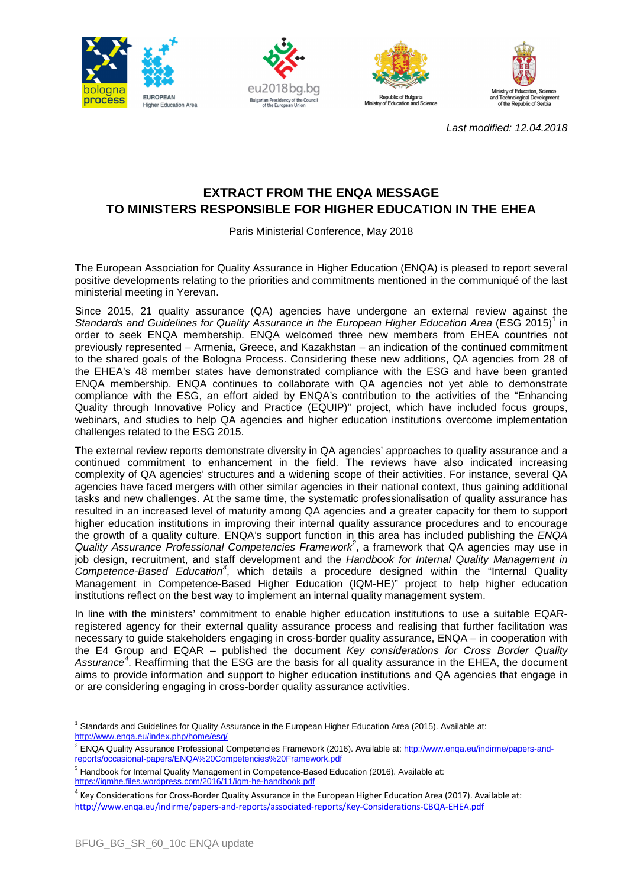







Last modified: 12.04.2018

## **EXTRACT FROM THE ENQA MESSAGE TO MINISTERS RESPONSIBLE FOR HIGHER EDUCATION IN THE EHEA**

Paris Ministerial Conference, May 2018

The European Association for Quality Assurance in Higher Education (ENQA) is pleased to report several positive developments relating to the priorities and commitments mentioned in the communiqué of the last ministerial meeting in Yerevan.

Since 2015, 21 quality assurance (QA) agencies have undergone an external review against the Standards and Guidelines for Quality Assurance in the European Higher Education Area (ESG 2015)<sup>1</sup> in order to seek ENQA membership. ENQA welcomed three new members from EHEA countries not previously represented – Armenia, Greece, and Kazakhstan – an indication of the continued commitment to the shared goals of the Bologna Process. Considering these new additions, QA agencies from 28 of the EHEA's 48 member states have demonstrated compliance with the ESG and have been granted ENQA membership. ENQA continues to collaborate with QA agencies not yet able to demonstrate compliance with the ESG, an effort aided by ENQA's contribution to the activities of the "Enhancing Quality through Innovative Policy and Practice (EQUIP)" project, which have included focus groups, webinars, and studies to help QA agencies and higher education institutions overcome implementation challenges related to the ESG 2015.

The external review reports demonstrate diversity in QA agencies' approaches to quality assurance and a continued commitment to enhancement in the field. The reviews have also indicated increasing complexity of QA agencies' structures and a widening scope of their activities. For instance, several QA agencies have faced mergers with other similar agencies in their national context, thus gaining additional tasks and new challenges. At the same time, the systematic professionalisation of quality assurance has resulted in an increased level of maturity among QA agencies and a greater capacity for them to support higher education institutions in improving their internal quality assurance procedures and to encourage the growth of a quality culture. ENQA's support function in this area has included publishing the ENQA Quality Assurance Professional Competencies Framework<sup>2</sup>, a framework that QA agencies may use in job design, recruitment, and staff development and the Handbook for Internal Quality Management in Competence-Based Education<sup>3</sup>, which details a procedure designed within the "Internal Quality Management in Competence-Based Higher Education (IQM-HE)" project to help higher education institutions reflect on the best way to implement an internal quality management system.

In line with the ministers' commitment to enable higher education institutions to use a suitable EQARregistered agency for their external quality assurance process and realising that further facilitation was necessary to guide stakeholders engaging in cross-border quality assurance, ENQA – in cooperation with the E4 Group and EQAR – published the document Key considerations for Cross Border Quality Assurance<sup>4</sup>. Reaffirming that the ESG are the basis for all quality assurance in the EHEA, the document aims to provide information and support to higher education institutions and QA agencies that engage in or are considering engaging in cross-border quality assurance activities.

 $\overline{\phantom{a}}$ 

<sup>&</sup>lt;sup>1</sup> Standards and Guidelines for Quality Assurance in the European Higher Education Area (2015). Available at: http://www.enqa.eu/index.php/home/esg/

<sup>&</sup>lt;sup>2</sup> ENQA Quality Assurance Professional Competencies Framework (2016). Available at: http://www.enqa.eu/indirme/papers-andreports/occasional-papers/ENQA%20Competencies%20Framework.pdf

<sup>&</sup>lt;sup>3</sup> Handbook for Internal Quality Management in Competence-Based Education (2016). Available at: https://iqmhe.files.wordpress.com/2016/11/iqm-he-handbook.pdf

<sup>&</sup>lt;sup>4</sup> Key Considerations for Cross-Border Quality Assurance in the European Higher Education Area (2017). Available at: http://www.enqa.eu/indirme/papers-and-reports/associated-reports/Key-Considerations-CBQA-EHEA.pdf